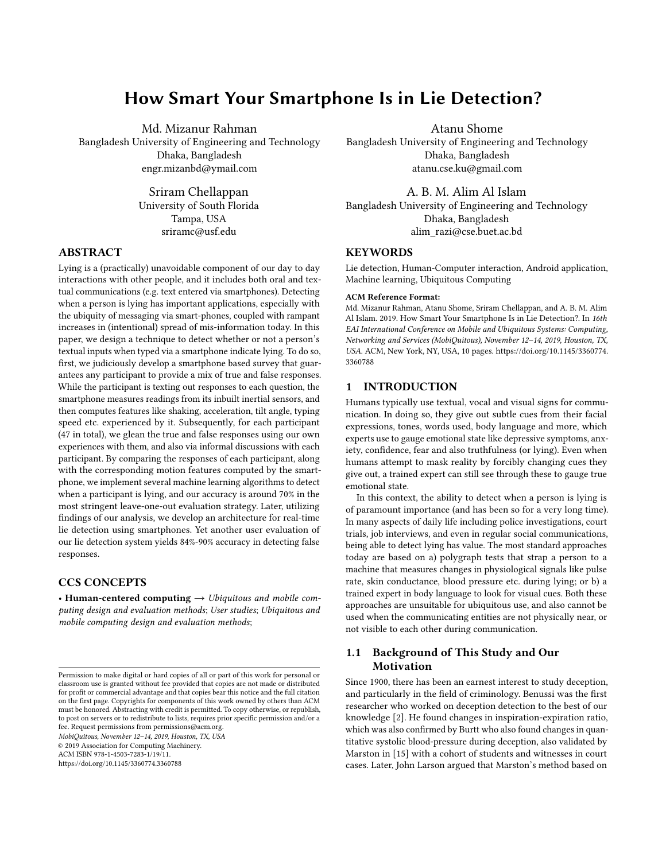# How Smart Your Smartphone Is in Lie Detection?

Md. Mizanur Rahman

Bangladesh University of Engineering and Technology Dhaka, Bangladesh engr.mizanbd@ymail.com

> Sriram Chellappan University of South Florida Tampa, USA sriramc@usf.edu

# ABSTRACT

Lying is a (practically) unavoidable component of our day to day interactions with other people, and it includes both oral and textual communications (e.g. text entered via smartphones). Detecting when a person is lying has important applications, especially with the ubiquity of messaging via smart-phones, coupled with rampant increases in (intentional) spread of mis-information today. In this paper, we design a technique to detect whether or not a person's textual inputs when typed via a smartphone indicate lying. To do so, first, we judiciously develop a smartphone based survey that guarantees any participant to provide a mix of true and false responses. While the participant is texting out responses to each question, the smartphone measures readings from its inbuilt inertial sensors, and then computes features like shaking, acceleration, tilt angle, typing speed etc. experienced by it. Subsequently, for each participant (47 in total), we glean the true and false responses using our own experiences with them, and also via informal discussions with each participant. By comparing the responses of each participant, along with the corresponding motion features computed by the smartphone, we implement several machine learning algorithms to detect when a participant is lying, and our accuracy is around 70% in the most stringent leave-one-out evaluation strategy. Later, utilizing findings of our analysis, we develop an architecture for real-time lie detection using smartphones. Yet another user evaluation of our lie detection system yields 84%-90% accuracy in detecting false responses.

# CCS CONCEPTS

• Human-centered computing  $\rightarrow$  Ubiquitous and mobile computing design and evaluation methods; User studies; Ubiquitous and mobile computing design and evaluation methods;

MobiQuitous, November 12–14, 2019, Houston, TX, USA

© 2019 Association for Computing Machinery.

ACM ISBN 978-1-4503-7283-1/19/11.

<https://doi.org/10.1145/3360774.3360788>

Atanu Shome

Bangladesh University of Engineering and Technology Dhaka, Bangladesh atanu.cse.ku@gmail.com

### A. B. M. Alim Al Islam

Bangladesh University of Engineering and Technology Dhaka, Bangladesh alim\_razi@cse.buet.ac.bd

# **KEYWORDS**

Lie detection, Human-Computer interaction, Android application, Machine learning, Ubiquitous Computing

#### ACM Reference Format:

Md. Mizanur Rahman, Atanu Shome, Sriram Chellappan, and A. B. M. Alim Al Islam. 2019. How Smart Your Smartphone Is in Lie Detection?. In 16th EAI International Conference on Mobile and Ubiquitous Systems: Computing, Networking and Services (MobiQuitous), November 12–14, 2019, Houston, TX, USA. ACM, New York, NY, USA, [10](#page-9-0) pages. [https://doi.org/10.1145/3360774.](https://doi.org/10.1145/3360774.3360788) [3360788](https://doi.org/10.1145/3360774.3360788)

### 1 INTRODUCTION

Humans typically use textual, vocal and visual signs for communication. In doing so, they give out subtle cues from their facial expressions, tones, words used, body language and more, which experts use to gauge emotional state like depressive symptoms, anxiety, confidence, fear and also truthfulness (or lying). Even when humans attempt to mask reality by forcibly changing cues they give out, a trained expert can still see through these to gauge true emotional state.

In this context, the ability to detect when a person is lying is of paramount importance (and has been so for a very long time). In many aspects of daily life including police investigations, court trials, job interviews, and even in regular social communications, being able to detect lying has value. The most standard approaches today are based on a) polygraph tests that strap a person to a machine that measures changes in physiological signals like pulse rate, skin conductance, blood pressure etc. during lying; or b) a trained expert in body language to look for visual cues. Both these approaches are unsuitable for ubiquitous use, and also cannot be used when the communicating entities are not physically near, or not visible to each other during communication.

# 1.1 Background of This Study and Our **Motivation**

Since 1900, there has been an earnest interest to study deception, and particularly in the field of criminology. Benussi was the first researcher who worked on deception detection to the best of our knowledge [\[2\]](#page-9-1). He found changes in inspiration-expiration ratio, which was also confirmed by Burtt who also found changes in quantitative systolic blood-pressure during deception, also validated by Marston in [\[15\]](#page-9-2) with a cohort of students and witnesses in court cases. Later, John Larson argued that Marston's method based on

Permission to make digital or hard copies of all or part of this work for personal or classroom use is granted without fee provided that copies are not made or distributed for profit or commercial advantage and that copies bear this notice and the full citation on the first page. Copyrights for components of this work owned by others than ACM must be honored. Abstracting with credit is permitted. To copy otherwise, or republish, to post on servers or to redistribute to lists, requires prior specific permission and/or a fee. Request permissions from permissions@acm.org.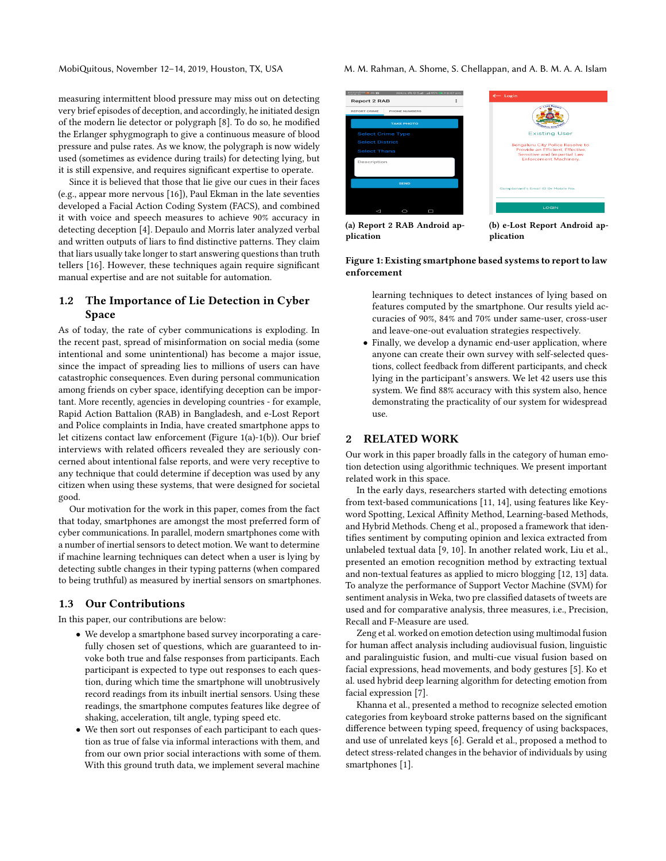measuring intermittent blood pressure may miss out on detecting very brief episodes of deception, and accordingly, he initiated design of the modern lie detector or polygraph [\[8\]](#page-9-3). To do so, he modified the Erlanger sphygmograph to give a continuous measure of blood pressure and pulse rates. As we know, the polygraph is now widely used (sometimes as evidence during trails) for detecting lying, but it is still expensive, and requires significant expertise to operate.

Since it is believed that those that lie give our cues in their faces (e.g., appear more nervous [\[16\]](#page-9-4)), Paul Ekman in the late seventies developed a Facial Action Coding System (FACS), and combined it with voice and speech measures to achieve 90% accuracy in detecting deception [\[4\]](#page-9-5). Depaulo and Morris later analyzed verbal and written outputs of liars to find distinctive patterns. They claim that liars usually take longer to start answering questions than truth tellers [\[16\]](#page-9-4). However, these techniques again require significant manual expertise and are not suitable for automation.

# 1.2 The Importance of Lie Detection in Cyber Space

As of today, the rate of cyber communications is exploding. In the recent past, spread of misinformation on social media (some intentional and some unintentional) has become a major issue, since the impact of spreading lies to millions of users can have catastrophic consequences. Even during personal communication among friends on cyber space, identifying deception can be important. More recently, agencies in developing countries - for example, Rapid Action Battalion (RAB) in Bangladesh, and e-Lost Report and Police complaints in India, have created smartphone apps to let citizens contact law enforcement (Figure 1(a)-1(b)). Our brief interviews with related officers revealed they are seriously concerned about intentional false reports, and were very receptive to any technique that could determine if deception was used by any citizen when using these systems, that were designed for societal good.

Our motivation for the work in this paper, comes from the fact that today, smartphones are amongst the most preferred form of cyber communications. In parallel, modern smartphones come with a number of inertial sensors to detect motion. We want to determine if machine learning techniques can detect when a user is lying by detecting subtle changes in their typing patterns (when compared to being truthful) as measured by inertial sensors on smartphones.

## 1.3 Our Contributions

In this paper, our contributions are below:

- We develop a smartphone based survey incorporating a carefully chosen set of questions, which are guaranteed to invoke both true and false responses from participants. Each participant is expected to type out responses to each question, during which time the smartphone will unobtrusively record readings from its inbuilt inertial sensors. Using these readings, the smartphone computes features like degree of shaking, acceleration, tilt angle, typing speed etc.
- We then sort out responses of each participant to each question as true of false via informal interactions with them, and from our own prior social interactions with some of them. With this ground truth data, we implement several machine

MobiQuitous, November 12–14, 2019, Houston, TX, USA M. M. Rahman, A. Shome, S. Chellappan, and A. B. M. A. A. Islam



(a) Report 2 RAB Android application

(b) e-Lost Report Android application

#### Figure 1: Existing smartphone based systems to report to law enforcement

learning techniques to detect instances of lying based on features computed by the smartphone. Our results yield accuracies of 90%, 84% and 70% under same-user, cross-user and leave-one-out evaluation strategies respectively.

• Finally, we develop a dynamic end-user application, where anyone can create their own survey with self-selected questions, collect feedback from different participants, and check lying in the participant's answers. We let 42 users use this system. We find 88% accuracy with this system also, hence demonstrating the practicality of our system for widespread use.

### 2 RELATED WORK

Our work in this paper broadly falls in the category of human emotion detection using algorithmic techniques. We present important related work in this space.

In the early days, researchers started with detecting emotions from text-based communications [\[11,](#page-9-6) [14\]](#page-9-7), using features like Keyword Spotting, Lexical Affinity Method, Learning-based Methods, and Hybrid Methods. Cheng et al., proposed a framework that identifies sentiment by computing opinion and lexica extracted from unlabeled textual data [\[9,](#page-9-8) [10\]](#page-9-9). In another related work, Liu et al., presented an emotion recognition method by extracting textual and non-textual features as applied to micro blogging [\[12,](#page-9-10) [13\]](#page-9-11) data. To analyze the performance of Support Vector Machine (SVM) for sentiment analysis in Weka, two pre classified datasets of tweets are used and for comparative analysis, three measures, i.e., Precision, Recall and F-Measure are used.

Zeng et al. worked on emotion detection using multimodal fusion for human affect analysis including audiovisual fusion, linguistic and paralinguistic fusion, and multi-cue visual fusion based on facial expressions, head movements, and body gestures [\[5\]](#page-9-12). Ko et al. used hybrid deep learning algorithm for detecting emotion from facial expression [\[7\]](#page-9-13).

Khanna et al., presented a method to recognize selected emotion categories from keyboard stroke patterns based on the significant difference between typing speed, frequency of using backspaces, and use of unrelated keys [\[6\]](#page-9-14). Gerald et al., proposed a method to detect stress-related changes in the behavior of individuals by using smartphones [\[1\]](#page-9-15).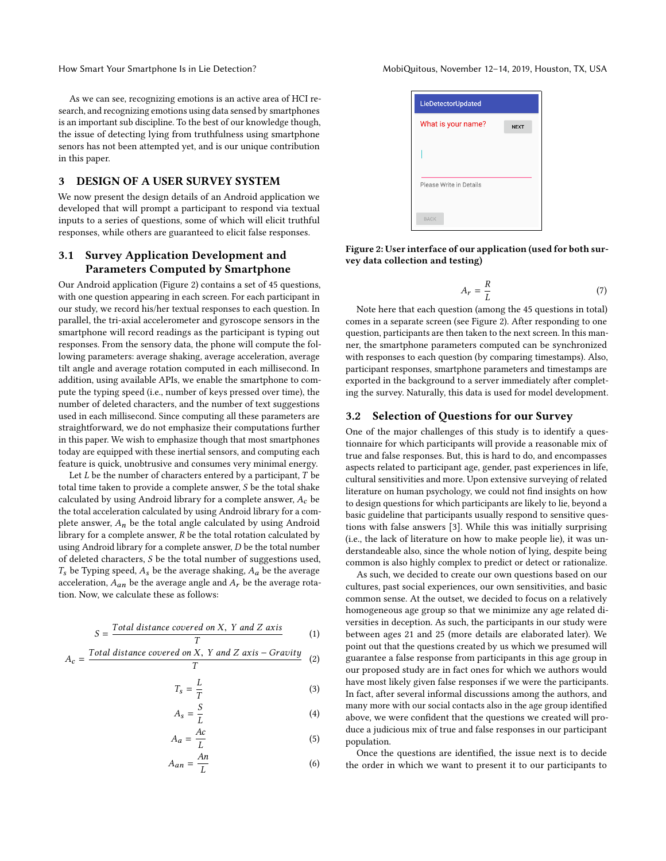How Smart Your Smartphone Is in Lie Detection? MobiQuitous, November 12-14, 2019, Houston, TX, USA

As we can see, recognizing emotions is an active area of HCI research, and recognizing emotions using data sensed by smartphones is an important sub discipline. To the best of our knowledge though, the issue of detecting lying from truthfulness using smartphone senors has not been attempted yet, and is our unique contribution in this paper.

# 3 DESIGN OF A USER SURVEY SYSTEM

We now present the design details of an Android application we developed that will prompt a participant to respond via textual inputs to a series of questions, some of which will elicit truthful responses, while others are guaranteed to elicit false responses.

# 3.1 Survey Application Development and Parameters Computed by Smartphone

Our Android application (Figure [2\)](#page-2-0) contains a set of 45 questions, with one question appearing in each screen. For each participant in our study, we record his/her textual responses to each question. In parallel, the tri-axial accelerometer and gyroscope sensors in the smartphone will record readings as the participant is typing out responses. From the sensory data, the phone will compute the following parameters: average shaking, average acceleration, average tilt angle and average rotation computed in each millisecond. In addition, using available APIs, we enable the smartphone to compute the typing speed (i.e., number of keys pressed over time), the number of deleted characters, and the number of text suggestions used in each millisecond. Since computing all these parameters are straightforward, we do not emphasize their computations further in this paper. We wish to emphasize though that most smartphones today are equipped with these inertial sensors, and computing each feature is quick, unobtrusive and consumes very minimal energy.

Let  $L$  be the number of characters entered by a participant,  $T$  be total time taken to provide a complete answer, S be the total shake calculated by using Android library for a complete answer,  $A_c$  be the total acceleration calculated by using Android library for a complete answer,  $A_n$  be the total angle calculated by using Android library for a complete answer,  $R$  be the total rotation calculated by using Android library for a complete answer, D be the total number of deleted characters, S be the total number of suggestions used,  $T_s$  be Typing speed,  $A_s$  be the average shaking,  $A_a$  be the average acceleration,  $A_{an}$  be the average angle and  $A_r$  be the average rotation. Now, we calculate these as follows:

$$
S = \frac{\text{Total distance covered on X, Y and Z axis}}{T}
$$
 (1)

$$
A_c = \frac{Total\ distance\ covered\ on\ X,\ Y\ and\ Z\ axis - Gravity}{T}
$$
 (2)

$$
T_s = \frac{L}{T}
$$
 (3)

$$
A_s = \frac{S}{L} \tag{4}
$$

$$
A_a = \frac{Ac}{L}
$$
 (5)

$$
A_{an} = \frac{An}{L} \tag{6}
$$

<span id="page-2-0"></span>

| LieDetectorUpdated      |             |
|-------------------------|-------------|
| What is your name?      | <b>NEXT</b> |
|                         |             |
|                         |             |
| Please Write in Details |             |
|                         |             |
| <b>BACK</b>             |             |

Figure 2: User interface of our application (used for both survey data collection and testing)

$$
A_r = \frac{R}{L} \tag{7}
$$

L Note here that each question (among the 45 questions in total) comes in a separate screen (see Figure [2\)](#page-2-0). After responding to one question, participants are then taken to the next screen. In this manner, the smartphone parameters computed can be synchronized with responses to each question (by comparing timestamps). Also, participant responses, smartphone parameters and timestamps are exported in the background to a server immediately after completing the survey. Naturally, this data is used for model development.

### 3.2 Selection of Questions for our Survey

One of the major challenges of this study is to identify a questionnaire for which participants will provide a reasonable mix of true and false responses. But, this is hard to do, and encompasses aspects related to participant age, gender, past experiences in life, cultural sensitivities and more. Upon extensive surveying of related literature on human psychology, we could not find insights on how to design questions for which participants are likely to lie, beyond a basic guideline that participants usually respond to sensitive questions with false answers [\[3\]](#page-9-16). While this was initially surprising (i.e., the lack of literature on how to make people lie), it was understandeable also, since the whole notion of lying, despite being common is also highly complex to predict or detect or rationalize.

As such, we decided to create our own questions based on our cultures, past social experiences, our own sensitivities, and basic common sense. At the outset, we decided to focus on a relatively homogeneous age group so that we minimize any age related diversities in deception. As such, the participants in our study were between ages 21 and 25 (more details are elaborated later). We point out that the questions created by us which we presumed will guarantee a false response from participants in this age group in our proposed study are in fact ones for which we authors would have most likely given false responses if we were the participants. In fact, after several informal discussions among the authors, and many more with our social contacts also in the age group identified above, we were confident that the questions we created will produce a judicious mix of true and false responses in our participant population.

Once the questions are identified, the issue next is to decide the order in which we want to present it to our participants to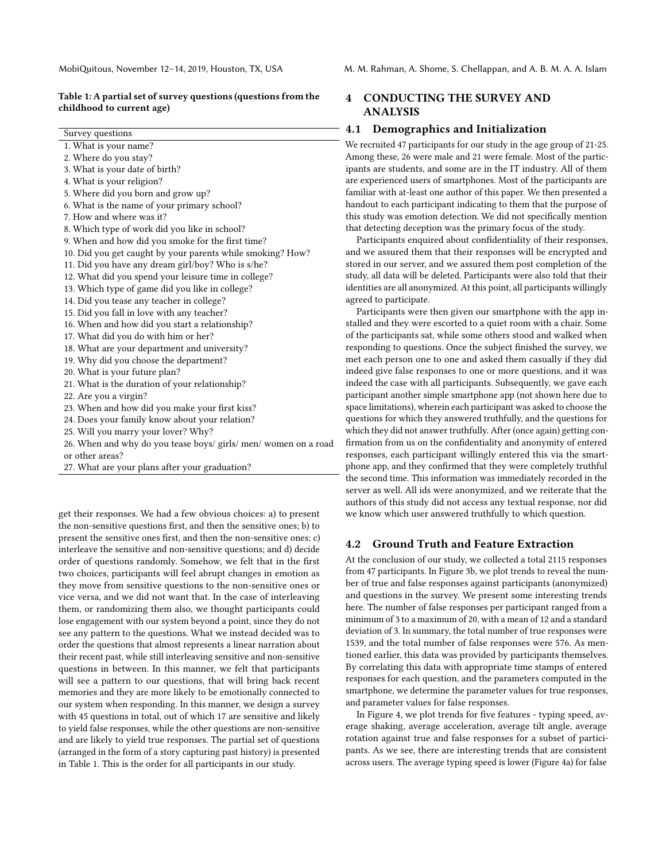#### <span id="page-3-0"></span>Table 1: A partial set of survey questions (questions from the childhood to current age)

| Survey questions                                                |
|-----------------------------------------------------------------|
| 1. What is your name?                                           |
| 2. Where do you stay?                                           |
| 3. What is your date of birth?                                  |
| 4. What is your religion?                                       |
| 5. Where did you born and grow up?                              |
| 6. What is the name of your primary school?                     |
| 7. How and where was it?                                        |
| 8. Which type of work did you like in school?                   |
| 9. When and how did you smoke for the first time?               |
| 10. Did you get caught by your parents while smoking? How?      |
| 11. Did you have any dream girl/boy? Who is s/he?               |
| 12. What did you spend your leisure time in college?            |
| 13. Which type of game did you like in college?                 |
| 14. Did you tease any teacher in college?                       |
| 15. Did you fall in love with any teacher?                      |
| 16. When and how did you start a relationship?                  |
| 17. What did you do with him or her?                            |
| 18. What are your department and university?                    |
| 19. Why did you choose the department?                          |
| 20. What is your future plan?                                   |
| 21. What is the duration of your relationship?                  |
| 22. Are you a virgin?                                           |
| 23. When and how did you make your first kiss?                  |
| 24. Does your family know about your relation?                  |
| 25. Will you marry your lover? Why?                             |
| 26. When and why do you tease boys/ girls/ men/ women on a road |
| or other areas?                                                 |

27. What are your plans after your graduation?

get their responses. We had a few obvious choices: a) to present the non-sensitive questions first, and then the sensitive ones; b) to present the sensitive ones first, and then the non-sensitive ones; c) interleave the sensitive and non-sensitive questions; and d) decide order of questions randomly. Somehow, we felt that in the first two choices, participants will feel abrupt changes in emotion as they move from sensitive questions to the non-sensitive ones or vice versa, and we did not want that. In the case of interleaving them, or randomizing them also, we thought participants could lose engagement with our system beyond a point, since they do not see any pattern to the questions. What we instead decided was to order the questions that almost represents a linear narration about their recent past, while still interleaving sensitive and non-sensitive questions in between. In this manner, we felt that participants will see a pattern to our questions, that will bring back recent memories and they are more likely to be emotionally connected to our system when responding. In this manner, we design a survey with 45 questions in total, out of which 17 are sensitive and likely to yield false responses, while the other questions are non-sensitive and are likely to yield true responses. The partial set of questions (arranged in the form of a story capturing past history) is presented in Table [1.](#page-3-0) This is the order for all participants in our study.

MobiQuitous, November 12–14, 2019, Houston, TX, USA M. M. Rahman, A. Shome, S. Chellappan, and A. B. M. A. A. Islam

# <span id="page-3-1"></span>4 CONDUCTING THE SURVEY AND ANALYSIS

### 4.1 Demographics and Initialization

We recruited 47 participants for our study in the age group of 21-25. Among these, 26 were male and 21 were female. Most of the participants are students, and some are in the IT industry. All of them are experienced users of smartphones. Most of the participants are familiar with at-least one author of this paper. We then presented a handout to each participant indicating to them that the purpose of this study was emotion detection. We did not specifically mention that detecting deception was the primary focus of the study.

Participants enquired about confidentiality of their responses, and we assured them that their responses will be encrypted and stored in our server, and we assured them post completion of the study, all data will be deleted. Participants were also told that their identities are all anonymized. At this point, all participants willingly agreed to participate.

Participants were then given our smartphone with the app installed and they were escorted to a quiet room with a chair. Some of the participants sat, while some others stood and walked when responding to questions. Once the subject finished the survey, we met each person one to one and asked them casually if they did indeed give false responses to one or more questions, and it was indeed the case with all participants. Subsequently, we gave each participant another simple smartphone app (not shown here due to space limitations), wherein each participant was asked to choose the questions for which they answered truthfully, and the questions for which they did not answer truthfully. After (once again) getting confirmation from us on the confidentiality and anonymity of entered responses, each participant willingly entered this via the smartphone app, and they confirmed that they were completely truthful the second time. This information was immediately recorded in the server as well. All ids were anonymized, and we reiterate that the authors of this study did not access any textual response, nor did we know which user answered truthfully to which question.

### 4.2 Ground Truth and Feature Extraction

At the conclusion of our study, we collected a total 2115 responses from 47 participants. In Figure [3b,](#page-4-0) we plot trends to reveal the number of true and false responses against participants (anonymized) and questions in the survey. We present some interesting trends here. The number of false responses per participant ranged from a minimum of 3 to a maximum of 20, with a mean of 12 and a standard deviation of 3. In summary, the total number of true responses were 1539, and the total number of false responses were 576. As mentioned earlier, this data was provided by participants themselves. By correlating this data with appropriate time stamps of entered responses for each question, and the parameters computed in the smartphone, we determine the parameter values for true responses, and parameter values for false responses.

In Figure [4,](#page-4-1) we plot trends for five features - typing speed, average shaking, average acceleration, average tilt angle, average rotation against true and false responses for a subset of participants. As we see, there are interesting trends that are consistent across users. The average typing speed is lower (Figure [4a\)](#page-4-1) for false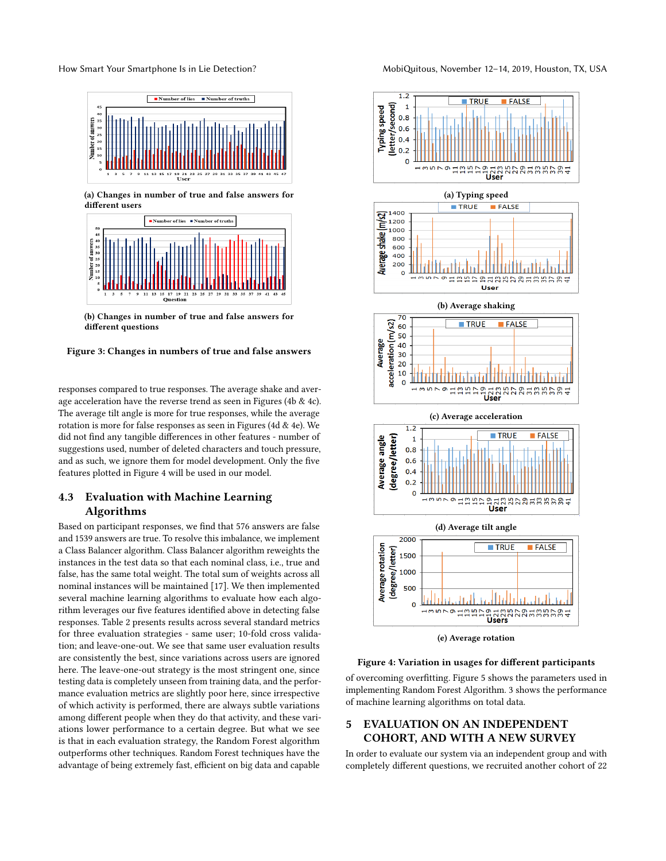<span id="page-4-0"></span>How Smart Your Smartphone Is in Lie Detection? MobiQuitous, November 12-14, 2019, Houston, TX, USA



(a) Changes in number of true and false answers for different users



(b) Changes in number of true and false answers for different questions



responses compared to true responses. The average shake and average acceleration have the reverse trend as seen in Figures [\(4b](#page-4-1) & [4c\)](#page-4-1). The average tilt angle is more for true responses, while the average rotation is more for false responses as seen in Figures [\(4d](#page-4-1) & [4e\)](#page-4-1). We did not find any tangible differences in other features - number of suggestions used, number of deleted characters and touch pressure, and as such, we ignore them for model development. Only the five features plotted in Figure [4](#page-4-1) will be used in our model.

# 4.3 Evaluation with Machine Learning Algorithms

Based on participant responses, we find that 576 answers are false and 1539 answers are true. To resolve this imbalance, we implement a Class Balancer algorithm. Class Balancer algorithm reweights the instances in the test data so that each nominal class, i.e., true and false, has the same total weight. The total sum of weights across all nominal instances will be maintained [\[17\]](#page-9-17). We then implemented several machine learning algorithms to evaluate how each algorithm leverages our five features identified above in detecting false responses. Table [2](#page-5-0) presents results across several standard metrics for three evaluation strategies - same user; 10-fold cross validation; and leave-one-out. We see that same user evaluation results are consistently the best, since variations across users are ignored here. The leave-one-out strategy is the most stringent one, since testing data is completely unseen from training data, and the performance evaluation metrics are slightly poor here, since irrespective of which activity is performed, there are always subtle variations among different people when they do that activity, and these variations lower performance to a certain degree. But what we see is that in each evaluation strategy, the Random Forest algorithm outperforms other techniques. Random Forest techniques have the advantage of being extremely fast, efficient on big data and capable

<span id="page-4-1"></span>



#### Figure 4: Variation in usages for different participants

of overcoming overfitting. Figure [5](#page-6-0) shows the parameters used in implementing Random Forest Algorithm. [3](#page-6-1) shows the performance of machine learning algorithms on total data.

# 5 EVALUATION ON AN INDEPENDENT COHORT, AND WITH A NEW SURVEY

In order to evaluate our system via an independent group and with completely different questions, we recruited another cohort of 22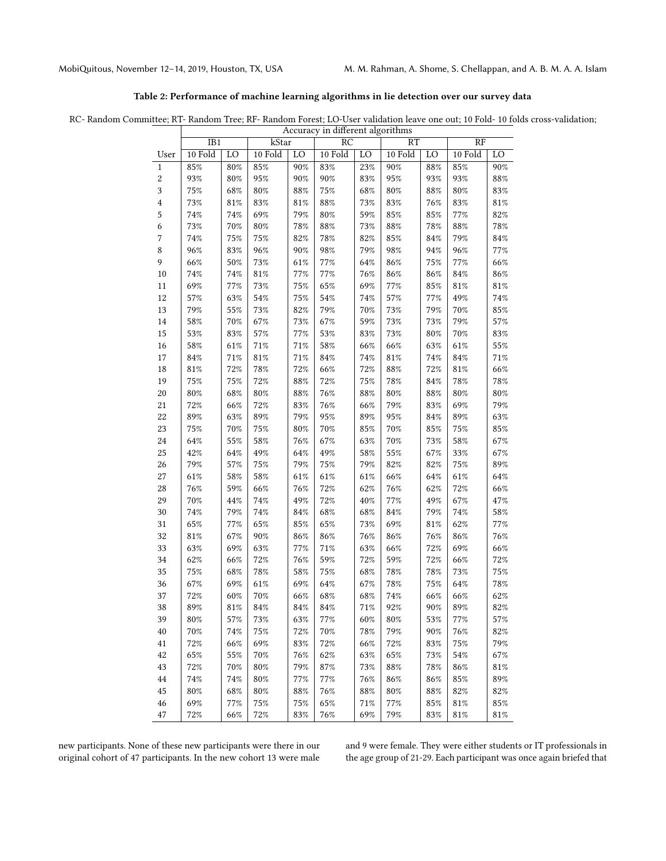<span id="page-5-0"></span>

# Table 2: Performance of machine learning algorithms in lie detection over our survey data

RC- Random Committee; RT- Random Tree; RF- Random Forest; LO-User validation leave one out; 10 Fold- 10 folds cross-validation;

|                         | Accuracy in different algorithms |                 |         |        |         |        |           |        |                 |        |
|-------------------------|----------------------------------|-----------------|---------|--------|---------|--------|-----------|--------|-----------------|--------|
|                         | IB1                              |                 | kStar   |        | RC      |        | <b>RT</b> |        | $\overline{RF}$ |        |
| User                    | 10 Fold                          | $\overline{LO}$ | 10 Fold | LO     | 10 Fold | LO     | 10 Fold   | LO     | 10 Fold         | LO     |
| $\mathbf{1}$            | 85%                              | $80\%$          | $85\%$  | $90\%$ | 83%     | 23%    | 90%       | $88\%$ | $85\%$          | $90\%$ |
| $\overline{c}$          | 93%                              | $80\%$          | $95\%$  | $90\%$ | $90\%$  | $83\%$ | $95\%$    | 93%    | 93%             | $88\%$ |
| 3                       | $75\%$                           | $68\%$          | $80\%$  | 88%    | $75\%$  | 68%    | $80\%$    | 88%    | $80\%$          | $83\%$ |
| $\overline{\mathbf{4}}$ | $73\%$                           | 81%             | $83\%$  | 81%    | $88\%$  | 73%    | $83\%$    | 76%    | $83\%$          | $81\%$ |
| 5                       | 74%                              | 74%             | 69%     | 79%    | $80\%$  | 59%    | $85\%$    | 85%    | 77%             | 82%    |
| 6                       | 73%                              | $70\%$          | $80\%$  | 78%    | 88%     | $73\%$ | $88\%$    | 78%    | $88\%$          | 78%    |
| $\boldsymbol{7}$        | 74%                              | 75%             | $75\%$  | $82\%$ | $78\%$  | 82%    | $85\%$    | 84%    | 79%             | $84\%$ |
| $\,8\,$                 | 96%                              | $83\%$          | 96%     | $90\%$ | $98\%$  | 79%    | $98\%$    | 94%    | 96%             | 77%    |
| 9                       | 66%                              | $50\%$          | $73\%$  | $61\%$ | 77%     | 64%    | $86\%$    | 75%    | $77\%$          | $66\%$ |
| 10                      | $74\%$                           | 74%             | $81\%$  | $77\%$ | $77\%$  | 76%    | $86\%$    | 86%    | $84\%$          | $86\%$ |
| 11                      | 69%                              | $77\%$          | $73\%$  | $75\%$ | $65\%$  | 69%    | $77\%$    | 85%    | $81\%$          | $81\%$ |
| $12\,$                  | 57%                              | 63%             | $54\%$  | $75\%$ | $54\%$  | $74\%$ | $57\%$    | 77%    | 49%             | $74\%$ |
| 13                      | 79%                              | $55\%$          | $73\%$  | $82\%$ | 79%     | $70\%$ | $73\%$    | 79%    | 70%             | $85\%$ |
| $14\,$                  | 58%                              | $70\%$          | 67%     | 73%    | 67%     | 59%    | $73\%$    | 73%    | 79%             | 57%    |
| $15\,$                  | 53%                              | $83\%$          | 57%     | $77\%$ | $53\%$  | 83%    | $73\%$    | 80%    | $70\%$          | $83\%$ |
| 16                      | 58%                              | 61%             | $71\%$  | 71%    | $58\%$  | 66%    | 66%       | 63%    | $61\%$          | $55\%$ |
| 17                      | $84\%$                           | $71\%$          | $81\%$  | $71\%$ | $84\%$  | $74\%$ | $81\%$    | 74%    | $84\%$          | $71\%$ |
| 18                      | $81\%$                           | $72\%$          | $78\%$  | 72%    | 66%     | $72\%$ | $88\%$    | 72%    | $81\%$          | 66%    |
| 19                      | $75\%$                           | 75%             | $72\%$  | $88\%$ | $72\%$  | $75\%$ | $78\%$    | 84%    | $78\%$          | $78\%$ |
| $20\,$                  | $80\%$                           | $68\%$          | $80\%$  | $88\%$ | $76\%$  | $88\%$ | $80\%$    | 88%    | $80\%$          | $80\%$ |
| $21\,$                  | 72%                              | 66%             | 72%     | $83\%$ | $76\%$  | 66%    | 79%       | 83%    | 69%             | 79%    |
| $22\,$                  | 89%                              | 63%             | 89%     | 79%    | $95\%$  | 89%    | $95\%$    | 84%    | $89\%$          | $63\%$ |
| 23                      | 75%                              | $70\%$          | $75\%$  | $80\%$ | $70\%$  | $85\%$ | $70\%$    | 85%    | $75\%$          | $85\%$ |
| $\ensuremath{24}$       | 64%                              | $55\%$          | $58\%$  | $76\%$ | $67\%$  | 63%    | $70\%$    | 73%    | $58\%$          | 67%    |
| $25\,$                  | 42%                              | 64%             | 49%     | 64%    | 49%     | $58\%$ | $55\%$    | 67%    | $33\%$          | 67%    |
| 26                      | 79%                              | $57\%$          | $75\%$  | 79%    | $75\%$  | 79%    | $82\%$    | 82%    | $75\%$          | 89%    |
| $\sqrt{27}$             | $61\%$                           | $58\%$          | $58\%$  | $61\%$ | $61\%$  | 61%    | 66%       | 64%    | $61\%$          | 64%    |
| 28                      | 76%                              | 59%             | 66%     | 76%    | $72\%$  | 62%    | $76\%$    | 62%    | 72%             | 66%    |
| 29                      | 70%                              | 44%             | $74\%$  | 49%    | $72\%$  | 40%    | $77\%$    | 49%    | $67\%$          | 47%    |
| 30                      | 74%                              | 79%             | $74\%$  | $84\%$ | $68\%$  | 68%    | 84%       | 79%    | $74\%$          | $58\%$ |
| 31                      | $65\%$                           | $77\%$          | $65\%$  | $85\%$ | $65\%$  | $73\%$ | 69%       | 81%    | $62\%$          | 77%    |
| 32                      | $81\%$                           | 67%             | $90\%$  | 86%    | $86\%$  | 76%    | $86\%$    | 76%    | $86\%$          | $76\%$ |
| 33                      | 63%                              | 69%             | 63%     | $77\%$ | $71\%$  | 63%    | 66%       | 72%    | 69%             | 66%    |
| 34                      | 62%                              | 66%             | 72%     | $76\%$ | $59\%$  | $72\%$ | $59\%$    | 72%    | 66%             | 72%    |
| 35                      | $75\%$                           | 68%             | $78\%$  | $58\%$ | $75\%$  | $68\%$ | $78\%$    | 78%    | $73\%$          | $75\%$ |
| 36                      | 67%                              | 69%             | 61%     | 69%    | 64%     | 67%    | 78%       | 75%    | 64%             | 78%    |
| 37                      | $72\%$                           | $60\%$          | $70\%$  | 66%    | 68%     | 68%    | 74%       | 66%    | 66%             | 62%    |
| 38                      | 89%                              | 81%             | 84%     | 84%    | $84\%$  | 71%    | 92%       | 90%    | 89%             | 82%    |
| 39                      | 80%                              | 57%             | 73%     | 63%    | 77%     | 60%    | 80%       | 53%    | 77%             | 57%    |
| 40                      | 70%                              | 74%             | $75\%$  | $72\%$ | 70%     | $78\%$ | 79%       | 90%    | 76%             | 82%    |
| 41                      | 72%                              | 66%             | 69%     | 83%    | $72\%$  | 66%    | 72%       | 83%    | 75%             | 79%    |
| 42                      | 65%                              | 55%             | 70%     | 76%    | 62%     | 63%    | 65%       | 73%    | 54%             | 67%    |
| 43                      | $72\%$                           | $70\%$          | $80\%$  | 79%    | $87\%$  | $73\%$ | $88\%$    | 78%    | 86%             | 81%    |
| 44                      | 74%                              | 74%             | $80\%$  | $77\%$ | 77%     | 76%    | $86\%$    | 86%    | $85\%$          | 89%    |
| 45                      | 80%                              | 68%             | 80%     | 88%    | 76%     | 88%    | 80%       | 88%    | 82%             | 82%    |
| 46                      | 69%                              | 77%             | $75\%$  | $75\%$ | 65%     | 71%    | 77%       | 85%    | 81%             | 85%    |
| 47                      | 72%                              | 66%             | 72%     | 83%    | $76\%$  | 69%    | 79%       | 83%    | 81%             | 81%    |

new participants. None of these new participants were there in our original cohort of 47 participants. In the new cohort 13 were male and 9 were female. They were either students or IT professionals in the age group of 21-29. Each participant was once again briefed that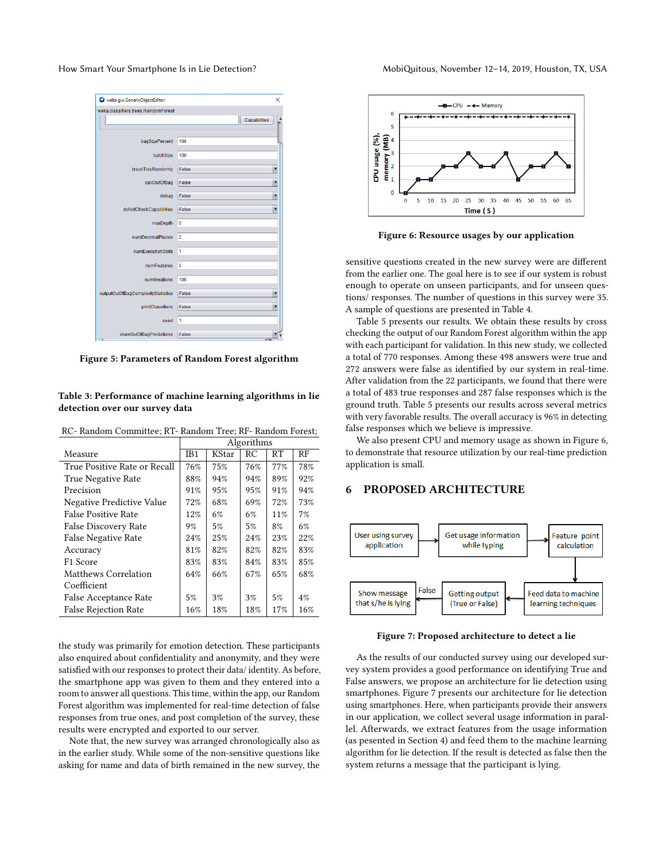<span id="page-6-0"></span>

| weka.qui.GenericObjectEditor        | ×              |
|-------------------------------------|----------------|
| weka.classifiers.trees.RandomForest |                |
|                                     | Capabilities   |
|                                     |                |
| bagSizePercent                      | 100            |
|                                     |                |
| <b>batchSize</b>                    | 100            |
| breakTiesRandomlv                   | False          |
|                                     |                |
| calcOutOfBag                        | False<br>▼     |
| debug                               | False<br>▼     |
|                                     |                |
| doNotCheckCapabilities              | False<br>▼     |
| maxDepth                            | $\mathbf{0}$   |
|                                     |                |
| numDecimalPlaces                    | $\overline{2}$ |
| numExecutionSlots                   | 1              |
| numFeatures                         | $\mathbf{0}$   |
|                                     |                |
| numiterations                       | 100            |
| outputOutOfBaqComplexityStatistics  | False          |
|                                     |                |
| printClassifiers                    | False          |
| seed                                | 1              |
|                                     |                |
| storeOutOfBaqPredictions            | False          |

Figure 5: Parameters of Random Forest algorithm

#### <span id="page-6-1"></span>Table 3: Performance of machine learning algorithms in lie detection over our survey data

RC- Random Committee; RT- Random Tree; RF- Random Forest;

|                              | Algorithms      |       |     |     |     |
|------------------------------|-----------------|-------|-----|-----|-----|
| Measure                      | IB <sub>1</sub> | KStar | RC  | RT  | RF  |
| True Positive Rate or Recall | 76%             | 75%   | 76% | 77% | 78% |
| True Negative Rate           | 88%             | 94%   | 94% | 89% | 92% |
| Precision                    | 91%             | 95%   | 95% | 91% | 94% |
| Negative Predictive Value    | 72%             | 68%   | 69% | 72% | 73% |
| <b>False Positive Rate</b>   | 12%             | 6%    | 6%  | 11% | 7%  |
| False Discovery Rate         | 9%              | 5%    | 5%  | 8%  | 6%  |
| <b>False Negative Rate</b>   | 24%             | 25%   | 24% | 23% | 22% |
| Accuracy                     | 81%             | 82%   | 82% | 82% | 83% |
| F <sub>1</sub> Score         | 83%             | 83%   | 84% | 83% | 85% |
| Matthews Correlation         | 64%             | 66%   | 67% | 65% | 68% |
| Coefficient                  |                 |       |     |     |     |
| False Acceptance Rate        | 5%              | 3%    | 3%  | 5%  | 4%  |
| <b>False Rejection Rate</b>  | 16%             | 18%   | 18% | 17% | 16% |

the study was primarily for emotion detection. These participants also enquired about confidentiality and anonymity, and they were satisfied with our responses to protect their data/ identity. As before, the smartphone app was given to them and they entered into a room to answer all questions. This time, within the app, our Random Forest algorithm was implemented for real-time detection of false responses from true ones, and post completion of the survey, these results were encrypted and exported to our server.

Note that, the new survey was arranged chronologically also as in the earlier study. While some of the non-sensitive questions like asking for name and data of birth remained in the new survey, the

<span id="page-6-2"></span>

Figure 6: Resource usages by our application

sensitive questions created in the new survey were are different from the earlier one. The goal here is to see if our system is robust enough to operate on unseen participants, and for unseen questions/ responses. The number of questions in this survey were 35. A sample of questions are presented in Table [4.](#page-8-0)

Table [5](#page-8-1) presents our results. We obtain these results by cross checking the output of our Random Forest algorithm within the app with each participant for validation. In this new study, we collected a total of 770 responses. Among these 498 answers were true and 272 answers were false as identified by our system in real-time. After validation from the 22 participants, we found that there were a total of 483 true responses and 287 false responses which is the ground truth. Table [5](#page-8-1) presents our results across several metrics with very favorable results. The overall accuracy is 96% in detecting false responses which we believe is impressive.

We also present CPU and memory usage as shown in Figure [6,](#page-6-2) to demonstrate that resource utilization by our real-time prediction application is small.

# 6 PROPOSED ARCHITECTURE

<span id="page-6-3"></span>

Figure 7: Proposed architecture to detect a lie

As the results of our conducted survey using our developed survey system provides a good performance on identifying True and False answers, we propose an architecture for lie detection using smartphones. Figure [7](#page-6-3) presents our architecture for lie detection using smartphones. Here, when participants provide their answers in our application, we collect several usage information in parallel. Afterwards, we extract features from the usage information (as pesented in Section [4\)](#page-3-1) and feed them to the machine learning algorithm for lie detection. If the result is detected as false then the system returns a message that the participant is lying.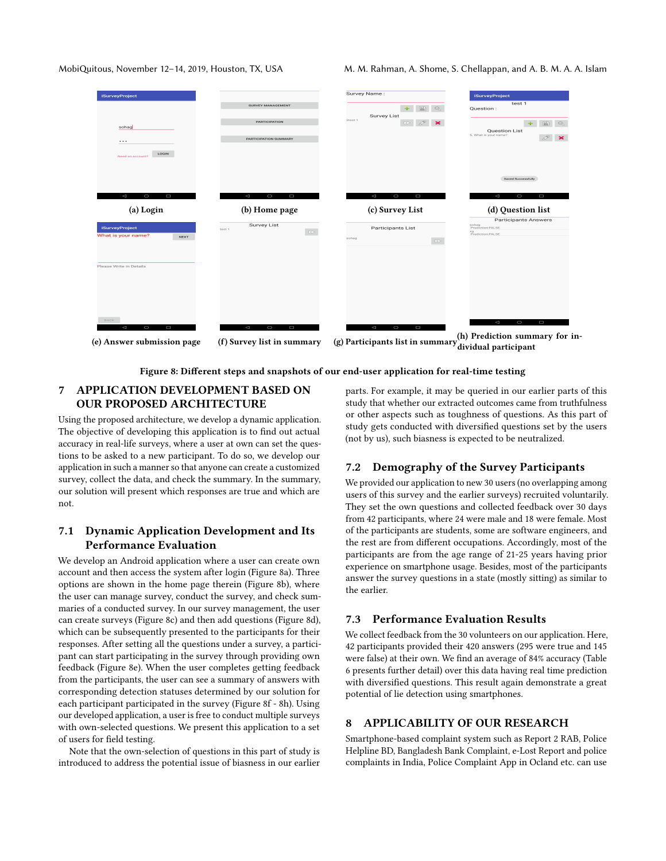<span id="page-7-0"></span>

MobiQuitous, November 12-14, 2019, Houston, TX, USA M. M. Rahman, A. Shome, S. Chellappan, and A. B. M. A. A. Islam

| <b>iSurveyProject</b>      |                                          | Survey Name:                                                                 | <b>iSurveyProject</b>                            |
|----------------------------|------------------------------------------|------------------------------------------------------------------------------|--------------------------------------------------|
|                            | SURVEY MANAGEMENT                        | $+$ $\mathbb{E}$<br>$\begin{array}{c} \mathbb{Q} \end{array}$                | test 1<br>Question:                              |
|                            | <b>PARTICIPATION</b>                     | <b>Survey List</b><br>Steat 1<br><b>DD</b>                                   | 圖<br>$\pm$                                       |
| sohag                      |                                          |                                                                              | Question List<br>5. What is your name?           |
| $\cdots$                   | PARTICIPATION SUMMARY                    |                                                                              |                                                  |
| LOGIN<br>Need an account?  |                                          |                                                                              |                                                  |
|                            |                                          |                                                                              | Saved Successfully                               |
|                            |                                          |                                                                              |                                                  |
| $\lhd$<br>$\circ$<br>D     | $\lhd$<br>$\circ$<br>$\Box$              | $\circ$<br>$\lhd$<br>Ο                                                       | $\circ$<br>$\lhd$<br>D                           |
| (a) Login                  | (b) Home page                            | (c) Survey List                                                              | (d) Question list<br><b>Participants Answers</b> |
| <b>iSurveyProject</b>      | <b>Survey List</b><br>test 1<br>$\infty$ | Participants List                                                            | sohag<br>Prediction:FALSE<br>$\times$            |
| What is your name?<br>NEXT |                                          | sohag<br>$\infty$                                                            | Prediction:FALSE                                 |
|                            |                                          |                                                                              |                                                  |
| Please Write in Details    |                                          |                                                                              |                                                  |
|                            |                                          |                                                                              |                                                  |
|                            |                                          |                                                                              |                                                  |
|                            |                                          |                                                                              |                                                  |
| <b>BACK</b>                |                                          |                                                                              | $\lhd$<br>$\circ$<br>Ο                           |
|                            | $\lhd$<br>$\circ$<br>$\Box$              | $\triangleleft$<br>$\circ$<br>$\Box$                                         |                                                  |
| $\lhd$<br>$\circ$<br>D     |                                          | (g) Participants list in summary $\binom{(h)}{r}$ Prediction summary for in- |                                                  |

Figure 8: Different steps and snapshots of our end-user application for real-time testing

# 7 APPLICATION DEVELOPMENT BASED ON OUR PROPOSED ARCHITECTURE

Using the proposed architecture, we develop a dynamic application. The objective of developing this application is to find out actual accuracy in real-life surveys, where a user at own can set the questions to be asked to a new participant. To do so, we develop our application in such a manner so that anyone can create a customized survey, collect the data, and check the summary. In the summary, our solution will present which responses are true and which are not.

# 7.1 Dynamic Application Development and Its Performance Evaluation

We develop an Android application where a user can create own account and then access the system after login (Figure [8a\)](#page-7-0). Three options are shown in the home page therein (Figure [8b\)](#page-7-0), where the user can manage survey, conduct the survey, and check summaries of a conducted survey. In our survey management, the user can create surveys (Figure [8c\)](#page-7-0) and then add questions (Figure [8d\)](#page-7-0), which can be subsequently presented to the participants for their responses. After setting all the questions under a survey, a participant can start participating in the survey through providing own feedback (Figure [8e\)](#page-7-0). When the user completes getting feedback from the participants, the user can see a summary of answers with corresponding detection statuses determined by our solution for each participant participated in the survey (Figure [8f](#page-7-0) - [8h\)](#page-7-0). Using our developed application, a user is free to conduct multiple surveys with own-selected questions. We present this application to a set of users for field testing.

Note that the own-selection of questions in this part of study is introduced to address the potential issue of biasness in our earlier parts. For example, it may be queried in our earlier parts of this study that whether our extracted outcomes came from truthfulness or other aspects such as toughness of questions. As this part of study gets conducted with diversified questions set by the users (not by us), such biasness is expected to be neutralized.

## 7.2 Demography of the Survey Participants

We provided our application to new 30 users (no overlapping among users of this survey and the earlier surveys) recruited voluntarily. They set the own questions and collected feedback over 30 days from 42 participants, where 24 were male and 18 were female. Most of the participants are students, some are software engineers, and the rest are from different occupations. Accordingly, most of the participants are from the age range of 21-25 years having prior experience on smartphone usage. Besides, most of the participants answer the survey questions in a state (mostly sitting) as similar to the earlier.

### 7.3 Performance Evaluation Results

We collect feedback from the 30 volunteers on our application. Here, 42 participants provided their 420 answers (295 were true and 145 were false) at their own. We find an average of 84% accuracy (Table [6](#page-8-2) presents further detail) over this data having real time prediction with diversified questions. This result again demonstrate a great potential of lie detection using smartphones.

# 8 APPLICABILITY OF OUR RESEARCH

Smartphone-based complaint system such as Report 2 RAB, Police Helpline BD, Bangladesh Bank Complaint, e-Lost Report and police complaints in India, Police Complaint App in Ocland etc. can use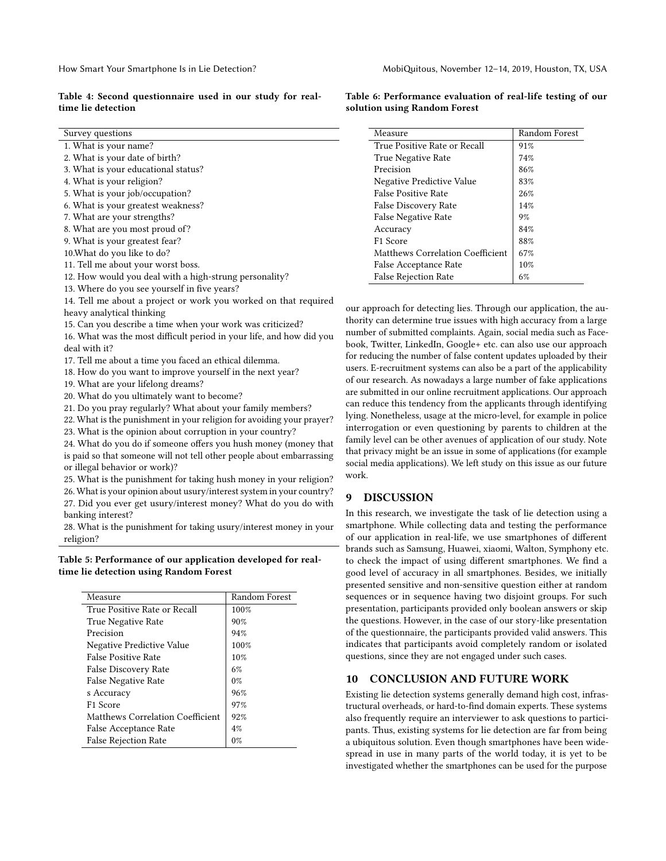#### <span id="page-8-0"></span>Table 4: Second questionnaire used in our study for realtime lie detection

| Survey questions                                                | Measure                                                   | Random Forest |  |  |
|-----------------------------------------------------------------|-----------------------------------------------------------|---------------|--|--|
| 1. What is your name?                                           | True Positive Rate or Recall                              | 91%           |  |  |
| 2. What is your date of birth?                                  | True Negative Rate                                        | 74%           |  |  |
| 3. What is your educational status?                             | Precision                                                 | 86%           |  |  |
| 4. What is your religion?                                       | Negative Predictive Value                                 | 83%           |  |  |
| 5. What is your job/occupation?                                 | <b>False Positive Rate</b>                                | 26%           |  |  |
| 6. What is your greatest weakness?                              | False Discovery Rate                                      | 14%           |  |  |
| 7. What are your strengths?                                     | False Negative Rate                                       | 9%            |  |  |
| 8. What are you most proud of?                                  | Accuracy                                                  | 84%           |  |  |
| 9. What is your greatest fear?                                  | F1 Score                                                  | 88%           |  |  |
| 10. What do you like to do?                                     | Matthews Correlation Coefficient                          | 67%           |  |  |
| 11. Tell me about your worst boss.                              | False Acceptance Rate                                     | $10\%$        |  |  |
| 12. How would you deal with a high-strung personality?          | <b>False Rejection Rate</b>                               | 6%            |  |  |
| 13. Where do you see yourself in five years?                    |                                                           |               |  |  |
| 14. Tell me about a project or work you worked on that required |                                                           |               |  |  |
| heavy analytical thinking                                       | our approach for detecting lies. Through our application, |               |  |  |

on. the authority can determine true issues with high accuracy from a large number of submitted complaints. Again, social media such as Facebook, Twitter, LinkedIn, Google+ etc. can also use our approach for reducing the number of false content updates uploaded by their users. E-recruitment systems can also be a part of the applicability of our research. As nowadays a large number of fake applications are submitted in our online recruitment applications. Our approach can reduce this tendency from the applicants through identifying lying. Nonetheless, usage at the micro-level, for example in police interrogation or even questioning by parents to children at the family level can be other avenues of application of our study. Note that privacy might be an issue in some of applications (for example social media applications). We left study on this issue as our future work.

# 9 DISCUSSION

In this research, we investigate the task of lie detection using a smartphone. While collecting data and testing the performance of our application in real-life, we use smartphones of different brands such as Samsung, Huawei, xiaomi, Walton, Symphony etc. to check the impact of using different smartphones. We find a good level of accuracy in all smartphones. Besides, we initially presented sensitive and non-sensitive question either at random sequences or in sequence having two disjoint groups. For such presentation, participants provided only boolean answers or skip the questions. However, in the case of our story-like presentation of the questionnaire, the participants provided valid answers. This indicates that participants avoid completely random or isolated questions, since they are not engaged under such cases.

### 10 CONCLUSION AND FUTURE WORK

Existing lie detection systems generally demand high cost, infrastructural overheads, or hard-to-find domain experts. These systems also frequently require an interviewer to ask questions to participants. Thus, existing systems for lie detection are far from being a ubiquitous solution. Even though smartphones have been widespread in use in many parts of the world today, it is yet to be investigated whether the smartphones can be used for the purpose

| 16. What was the most difficult period in your life, and how did you  |
|-----------------------------------------------------------------------|
| deal with it?                                                         |
| 17. Tell me about a time you faced an ethical dilemma.                |
| 18. How do you want to improve yourself in the next year?             |
| 19. What are your lifelong dreams?                                    |
| 20. What do you ultimately want to become?                            |
| 21. Do you pray regularly? What about your family members?            |
| 22. What is the punishment in your religion for avoiding your prayer? |
| 23. What is the opinion about corruption in your country?             |
|                                                                       |

15. Can you describe a time when your work was criticized?

24. What do you do if someone offers you hush money (money that is paid so that someone will not tell other people about embarrassing or illegal behavior or work)?

25. What is the punishment for taking hush money in your religion?

26. What is your opinion about usury/interest system in your country? 27. Did you ever get usury/interest money? What do you do with

banking interest?

28. What is the punishment for taking usury/interest money in your religion?

#### <span id="page-8-1"></span>Table 5: Performance of our application developed for realtime lie detection using Random Forest

| Measure                          | Random Forest |
|----------------------------------|---------------|
| True Positive Rate or Recall     | 100%          |
| <b>True Negative Rate</b>        | 90%           |
| Precision                        | 94%           |
| Negative Predictive Value        | 100%          |
| <b>False Positive Rate</b>       | 10%           |
| False Discovery Rate             | 6%            |
| False Negative Rate              | $0\%$         |
| s Accuracy                       | 96%           |
| F <sub>1</sub> Score             | 97%           |
| Matthews Correlation Coefficient | 92%           |
| False Acceptance Rate            | 4%            |
| False Rejection Rate             | $0\%$         |

<span id="page-8-2"></span>Table 6: Performance evaluation of real-life testing of our solution using Random Forest